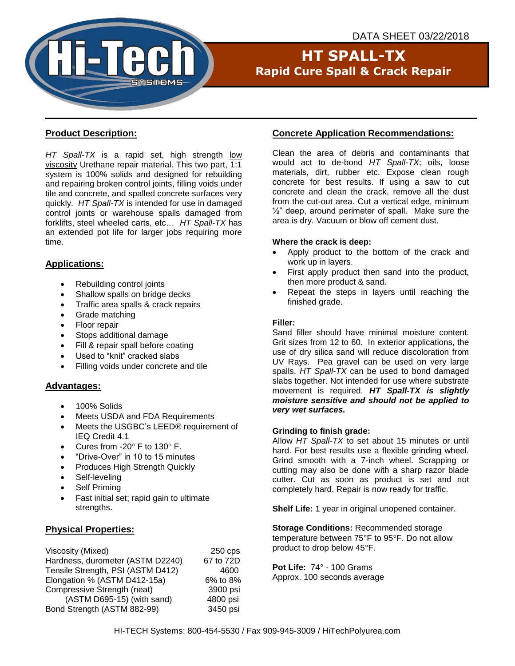

# **HT SPALL-TX Rapid Cure Spall & Crack Repair**

## **Product Description:**

*HT Spall-TX* is a rapid set, high strength low viscosity Urethane repair material. This two part, 1:1 system is 100% solids and designed for rebuilding and repairing broken control joints, filling voids under tile and concrete, and spalled concrete surfaces very quickly. *HT Spall-TX* is intended for use in damaged control joints or warehouse spalls damaged from forklifts, steel wheeled carts, etc… *HT Spall-TX* has an extended pot life for larger jobs requiring more time.

## **Applications:**

- Rebuilding control joints
- Shallow spalls on bridge decks
- Traffic area spalls & crack repairs
- Grade matching
- Floor repair
- Stops additional damage
- Fill & repair spall before coating
- Used to "knit" cracked slabs
- Filling voids under concrete and tile

### **Advantages:**

- 100% Solids
- Meets USDA and FDA Requirements
- Meets the USGBC's LEED® requirement of IEQ Credit 4.1
- Cures from  $-20^\circ$  F to  $130^\circ$  F.
- "Drive-Over" in 10 to 15 minutes
- Produces High Strength Quickly
- Self-leveling
- Self Primina
- Fast initial set; rapid gain to ultimate strengths.

## **Physical Properties:**

| Viscosity (Mixed)                 | $250$ cps |
|-----------------------------------|-----------|
| Hardness, durometer (ASTM D2240)  | 67 to 72D |
| Tensile Strength, PSI (ASTM D412) | 4600      |
| Elongation % (ASTM D412-15a)      | 6% to 8%  |
| Compressive Strength (neat)       | 3900 psi  |
| (ASTM D695-15) (with sand)        | 4800 psi  |
| Bond Strength (ASTM 882-99)       | 3450 psi  |
|                                   |           |

## **Concrete Application Recommendations:**

Clean the area of debris and contaminants that would act to de-bond *HT Spall-TX*; oils, loose materials, dirt, rubber etc. Expose clean rough concrete for best results. If using a saw to cut concrete and clean the crack, remove all the dust from the cut-out area. Cut a vertical edge, minimum  $\frac{1}{2}$ " deep, around perimeter of spall. Make sure the area is dry. Vacuum or blow off cement dust.

### **Where the crack is deep:**

- Apply product to the bottom of the crack and work up in layers.
- First apply product then sand into the product, then more product & sand.
- Repeat the steps in layers until reaching the finished grade.

### **Filler:**

Sand filler should have minimal moisture content. Grit sizes from 12 to 60. In exterior applications, the use of dry silica sand will reduce discoloration from UV Rays. Pea gravel can be used on very large spalls. *HT Spall-TX* can be used to bond damaged slabs together. Not intended for use where substrate movement is required. *HT Spall-TX is slightly moisture sensitive and should not be applied to very wet surfaces.*

### **Grinding to finish grade:**

Allow *HT Spall-TX* to set about 15 minutes or until hard. For best results use a flexible grinding wheel. Grind smooth with a 7-inch wheel. Scrapping or cutting may also be done with a sharp razor blade cutter. Cut as soon as product is set and not completely hard. Repair is now ready for traffic.

**Shelf Life:** 1 year in original unopened container.

## **Storage Conditions:** Recommended storage

temperature between 75°F to 95°F. Do not allow product to drop below 45°F.

**Pot Life:** 74° - 100 Grams Approx. 100 seconds average